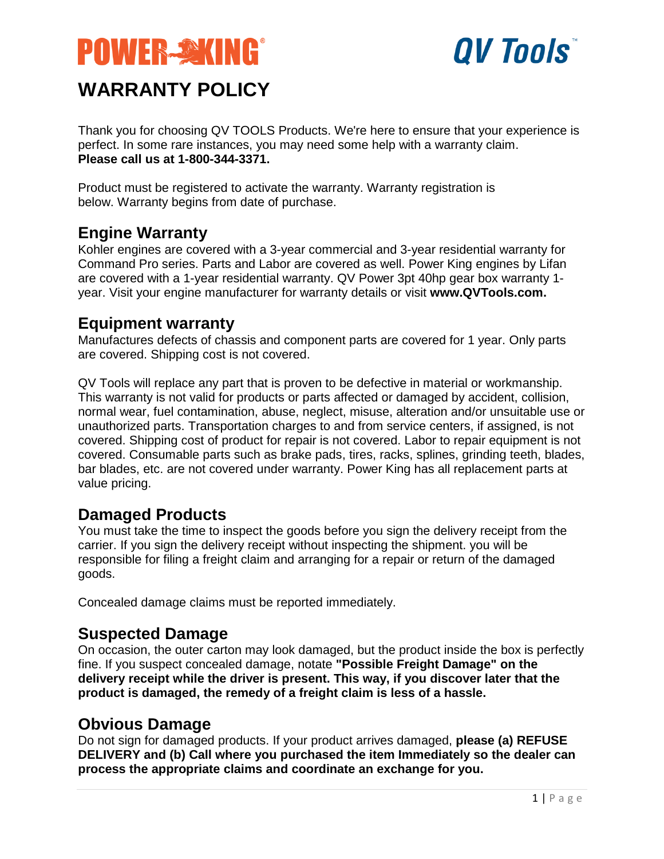



Thank you for choosing QV TOOLS Products. We're here to ensure that your experience is perfect. In some rare instances, you may need some help with a warranty claim. **Please call us at 1-800-344-3371.**

Product must be registered to activate the warranty. Warranty registration is below. Warranty begins from date of purchase.

### **Engine Warranty**

Kohler engines are covered with a 3-year commercial and 3-year residential warranty for Command Pro series. Parts and Labor are covered as well. Power King engines by Lifan are covered with a 1-year residential warranty. QV Power 3pt 40hp gear box warranty 1 year. Visit your engine manufacturer for warranty details or visit **www.QVTools.com.**

#### **Equipment warranty**

Manufactures defects of chassis and component parts are covered for 1 year. Only parts are covered. Shipping cost is not covered.

QV Tools will replace any part that is proven to be defective in material or workmanship. This warranty is not valid for products or parts affected or damaged by accident, collision, normal wear, fuel contamination, abuse, neglect, misuse, alteration and/or unsuitable use or unauthorized parts. Transportation charges to and from service centers, if assigned, is not covered. Shipping cost of product for repair is not covered. Labor to repair equipment is not covered. Consumable parts such as brake pads, tires, racks, splines, grinding teeth, blades, bar blades, etc. are not covered under warranty. Power King has all replacement parts at value pricing.

### **Damaged Products**

You must take the time to inspect the goods before you sign the delivery receipt from the carrier. If you sign the delivery receipt without inspecting the shipment. you will be responsible for filing a freight claim and arranging for a repair or return of the damaged goods.

Concealed damage claims must be reported immediately.

### **Suspected Damage**

On occasion, the outer carton may look damaged, but the product inside the box is perfectly fine. If you suspect concealed damage, notate **"Possible Freight Damage" on the delivery receipt while the driver is present. This way, if you discover later that the product is damaged, the remedy of a freight claim is less of a hassle.**

### **Obvious Damage**

Do not sign for damaged products. If your product arrives damaged, **please (a) REFUSE DELIVERY and (b) Call where you purchased the item Immediately so the dealer can process the appropriate claims and coordinate an exchange for you.**